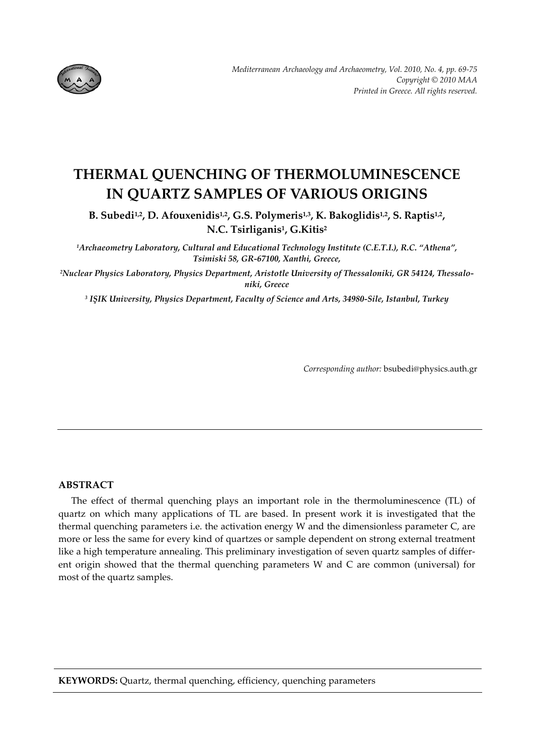

# **THERMAL QUENCHING OF THERMOLUMINESCENCE IN QUARTZ SAMPLES OF VARIOUS ORIGINS**

**B. Subedi1,2, D. Afouxenidis1,2, G.S. Polymeris1,3, K. Bakoglidis1,2, S. Raptis1,2, N.C. Tsirliganis1, G.Kitis2**

*1Archaeometry Laboratory, Cultural and Educational Technology Institute (C.E.T.I.), R.C. "Athena", Tsimiski 58, GR‐67100, Xanthi, Greece,* 

*2Nuclear Physics Laboratory, Physics Department, Aristotle University of Thessaloniki, GR 54124, Thessalo‐ niki, Greece*

*<sup>3</sup> IŞIK University, Physics Department, Faculty of Science and Arts, 34980‐Sile, Istanbul, Turkey*

*Corresponding author:* bsubedi@physics.auth.gr

## **ABSTRACT**

The effect of thermal quenching plays an important role in the thermoluminescence (TL) of quartz on which many applications of TL are based. In present work it is investigated that the thermal quenching parameters i.e. the activation energy W and the dimensionless parameter C, are more or less the same for every kind of quartzes or sample dependent on strong external treatment like a high temperature annealing. This preliminary investigation of seven quartz samples of different origin showed that the thermal quenching parameters W and C are common (universal) for most of the quartz samples.

**KEYWORDS:** Quartz, thermal quenching, efficiency, quenching parameters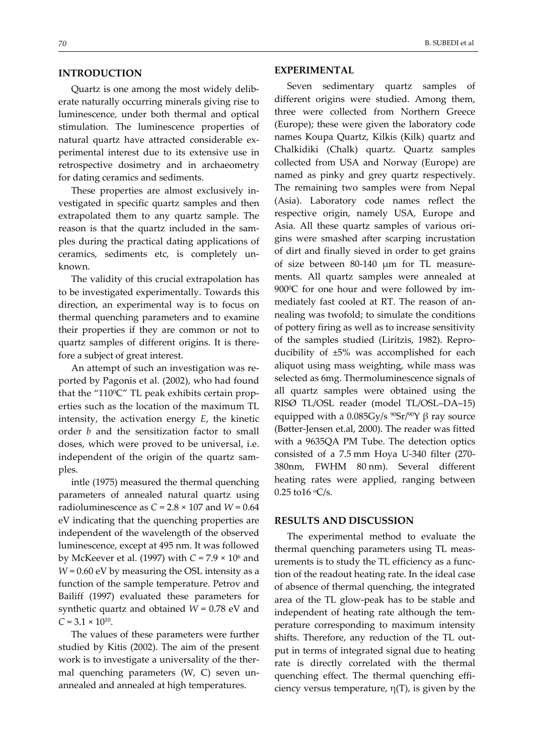## **INTRODUCTION**

Quartz is one among the most widely delib‐ erate naturally occurring minerals giving rise to luminescence, under both thermal and optical stimulation. The luminescence properties of natural quartz have attracted considerable ex‐ perimental interest due to its extensive use in retrospective dosimetry and in archaeometry for dating ceramics and sediments.

These properties are almost exclusively in‐ vestigated in specific quartz samples and then extrapolated them to any quartz sample. The reason is that the quartz included in the sam‐ ples during the practical dating applications of ceramics, sediments etc, is completely un‐ known.

The validity of this crucial extrapolation has to be investigated experimentally. Towards this direction, an experimental way is to focus on thermal quenching parameters and to examine their properties if they are common or not to quartz samples of different origins. It is there‐ fore a subject of great interest.

An attempt of such an investigation was re‐ ported by Pagonis et al. (2002), who had found that the " $110^{\circ}$ C" TL peak exhibits certain properties such as the location of the maximum TL intensity, the activation energy *E*, the kinetic order *b* and the sensitization factor to small doses, which were proved to be universal, i.e. independent of the origin of the quartz sam‐ ples.

intle (1975) measured the thermal quenching parameters of annealed natural quartz using radioluminescence as *C* = 2.8 × 107 and *W* = 0.64 eV indicating that the quenching properties are independent of the wavelength of the observed luminescence, except at 495 nm. It was followed by McKeever et al. (1997) with *C* = 7.9 × 106 and *W* = 0.60 eV by measuring the OSL intensity as a function of the sample temperature. Petrov and Bailiff (1997) evaluated these parameters for synthetic quartz and obtained *W* = 0.78 eV and  $C = 3.1 \times 10^{10}$ .

The values of these parameters were further studied by Kitis (2002). The aim of the present work is to investigate a universality of the thermal quenching parameters (W, C) seven unannealed and annealed at high temperatures.

#### **EXPERIMENTAL**

Seven sedimentary quartz samples of different origins were studied. Among them, three were collected from Northern Greece (Europe); these were given the laboratory code names Koupa Quartz, Kilkis (Kilk) quartz and Chalkidiki (Chalk) quartz. Quartz samples collected from USA and Norway (Europe) are named as pinky and grey quartz respectively. The remaining two samples were from Nepal (Asia). Laboratory code names reflect the respective origin, namely USA, Europe and Asia. All these quartz samples of various ori‐ gins were smashed after scarping incrustation of dirt and finally sieved in order to get grains of size between 80‐140 μm for TL measure‐ ments. All quartz samples were annealed at 900°C for one hour and were followed by immediately fast cooled at RT. The reason of an‐ nealing was twofold; to simulate the conditions of pottery firing as well as to increase sensitivity of the samples studied (Liritzis, 1982). Repro‐ ducibility of ±5% was accomplished for each aliquot using mass weighting, while mass was selected as 6mg. Thermoluminescence signals of all quartz samples were obtained using the RISØ TL/OSL reader (model TL/OSL–DA–15) equipped with a 0.085Gy/s  $^{90}Sr/^{90}Y$  β ray source (Bøtter‐Jensen et.al, 2000). The reader was fitted with a 9635QA PM Tube. The detection optics consisted of a 7.5 mm Hoya U‐340 filter (270‐ 380nm, FWHM 80 nm). Several different heating rates were applied, ranging between 0.25 to  $16 °C/s$ .

### **RESULTS AND DISCUSSION**

The experimental method to evaluate the thermal quenching parameters using TL meas‐ urements is to study the TL efficiency as a func‐ tion of the readout heating rate. In the ideal case of absence of thermal quenching, the integrated area of the TL glow‐peak has to be stable and independent of heating rate although the tem‐ perature corresponding to maximum intensity shifts. Therefore, any reduction of the TL out‐ put in terms of integrated signal due to heating rate is directly correlated with the thermal quenching effect. The thermal quenching efficiency versus temperature,  $\eta(T)$ , is given by the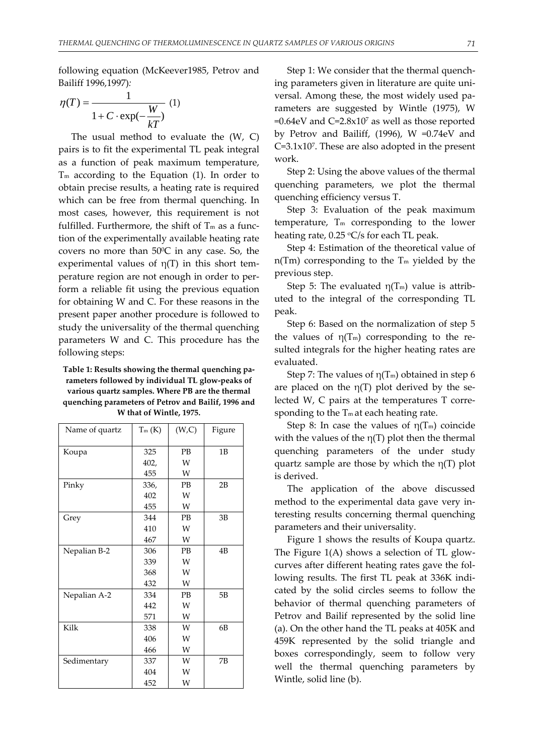following equation (McKeever1985, Petrov and Bailiff 1996,1997)*:*

$$
\eta(T) = \frac{1}{1 + C \cdot \exp(-\frac{W}{kT})} \tag{1}
$$

The usual method to evaluate the  $(W, C)$ pairs is to fit the experimental TL peak integral as a function of peak maximum temperature,  $T<sub>m</sub>$  according to the Equation (1). In order to obtain precise results, a heating rate is required which can be free from thermal quenching. In most cases, however, this requirement is not fulfilled. Furthermore, the shift of  $T<sub>m</sub>$  as a function of the experimentally available heating rate covers no more than 500C in any case. So, the experimental values of  $\eta(T)$  in this short temperature region are not enough in order to per‐ form a reliable fit using the previous equation for obtaining W and C. For these reasons in the present paper another procedure is followed to study the universality of the thermal quenching parameters W and C. This procedure has the following steps:

**Table 1: Results showing the thermal quenching pa‐ rameters followed by individual TL glow‐peaks of various quartz samples. Where PB are the thermal quenching parameters of Petrov and Bailif, 1996 and W that of Wintle, 1975.**

| Name of quartz | $T_m(K)$ | (W,C)     | Figure |
|----------------|----------|-----------|--------|
|                |          |           |        |
| Koupa          | 325      | <b>PB</b> | 1B     |
|                | 402,     | W         |        |
|                | 455      | W         |        |
| Pinky          | 336,     | PB        | 2B     |
|                | 402      | W         |        |
|                | 455      | W         |        |
| Grey           | 344      | PB        | 3B     |
|                | 410      | W         |        |
|                | 467      | W         |        |
| Nepalian B-2   | 306      | PB        | 4B     |
|                | 339      | W         |        |
|                | 368      | W         |        |
|                | 432      | W         |        |
| Nepalian A-2   | 334      | <b>PB</b> | 5B     |
|                | 442      | W         |        |
|                | 571      | W         |        |
| Kilk           | 338      | W         | 6B     |
|                | 406      | W         |        |
|                | 466      | W         |        |
| Sedimentary    | 337      | W         | 7В     |
|                | 404      | W         |        |
|                | 452      | W         |        |

Step 1: We consider that the thermal quench‐ ing parameters given in literature are quite uni‐ versal. Among these, the most widely used pa‐ rameters are suggested by Wintle (1975), W  $=0.64$ eV and C $=2.8\times10^7$  as well as those reported by Petrov and Bailiff, (1996), W =0.74eV and C=3.1x107. These are also adopted in the present work.

Step 2: Using the above values of the thermal quenching parameters, we plot the thermal quenching efficiency versus T.

Step 3: Evaluation of the peak maximum temperature,  $T_m$  corresponding to the lower heating rate,  $0.25 \text{ °C/s}$  for each TL peak.

Step 4: Estimation of the theoretical value of  $n(Tm)$  corresponding to the  $Tm$  yielded by the previous step.

Step 5: The evaluated  $\eta(T_m)$  value is attributed to the integral of the corresponding TL peak.

Step 6: Based on the normalization of step 5 the values of  $\eta(T_m)$  corresponding to the resulted integrals for the higher heating rates are evaluated.

Step 7: The values of  $\eta(T_m)$  obtained in step 6 are placed on the  $\eta(T)$  plot derived by the selected W, C pairs at the temperatures T corre‐ sponding to the  $T_m$  at each heating rate.

Step 8: In case the values of  $\eta(T_m)$  coincide with the values of the  $\eta(T)$  plot then the thermal quenching parameters of the under study quartz sample are those by which the  $\eta(T)$  plot is derived.

The application of the above discussed method to the experimental data gave very in‐ teresting results concerning thermal quenching parameters and their universality.

Figure 1 shows the results of Koupa quartz. The Figure 1(A) shows a selection of TL glow‐ curves after different heating rates gave the fol‐ lowing results. The first TL peak at 336K indi‐ cated by the solid circles seems to follow the behavior of thermal quenching parameters of Petrov and Bailif represented by the solid line (a). On the other hand the TL peaks at 405K and 459K represented by the solid triangle and boxes correspondingly, seem to follow very well the thermal quenching parameters by Wintle, solid line (b).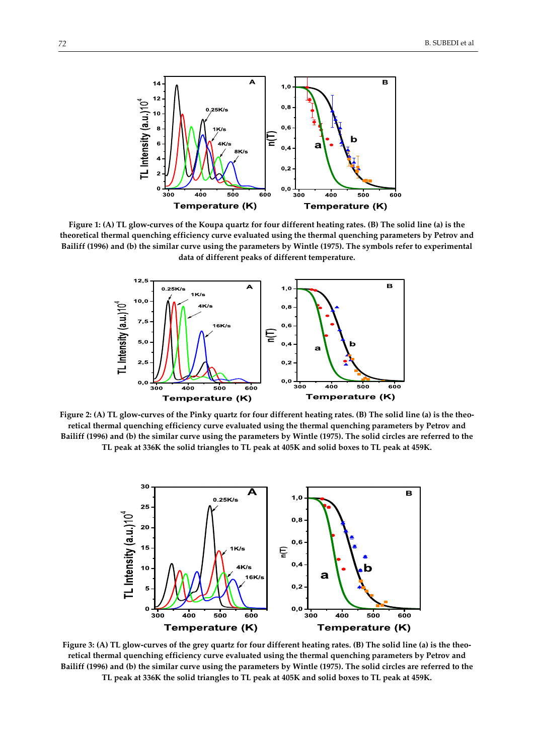

Figure 1: (A) TL glow-curves of the Koupa quartz for four different heating rates. (B) The solid line (a) is the **theoretical thermal quenching efficiency curve evaluated using the thermal quenching parameters by Petrov and** Bailiff (1996) and (b) the similar curve using the parameters by Wintle (1975). The symbols refer to experimental **data of different peaks of different temperature.**



Figure 2: (A) TL glow-curves of the Pinky quartz for four different heating rates. (B) The solid line (a) is the theo**retical thermal quenching efficiency curve evaluated using the thermal quenching parameters by Petrov and** Bailiff (1996) and (b) the similar curve using the parameters by Wintle (1975). The solid circles are referred to the TL peak at 336K the solid triangles to TL peak at 405K and solid boxes to TL peak at 459K.



Figure 3: (A) TL glow-curves of the grey quartz for four different heating rates. (B) The solid line (a) is the theo**retical thermal quenching efficiency curve evaluated using the thermal quenching parameters by Petrov and** Bailiff (1996) and (b) the similar curve using the parameters by Wintle (1975). The solid circles are referred to the TL peak at 336K the solid triangles to TL peak at 405K and solid boxes to TL peak at 459K.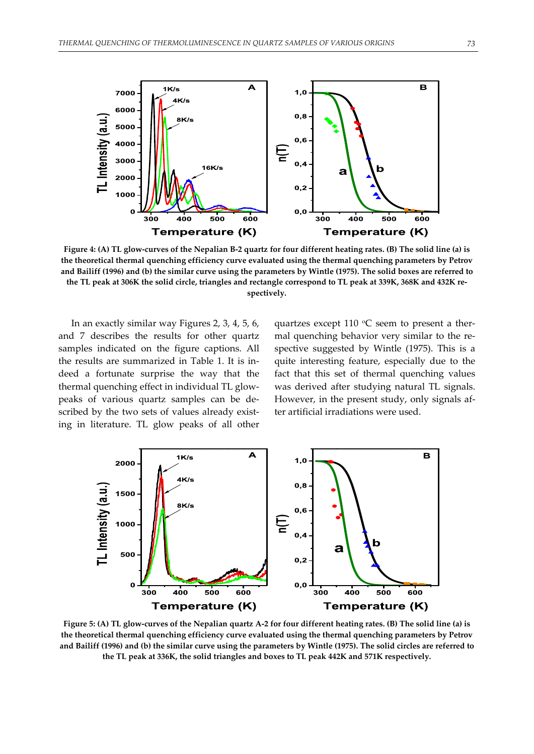

Figure 4: (A) TL glow-curves of the Nepalian B-2 quartz for four different heating rates. (B) The solid line (a) is **the theoretical thermal quenching efficiency curve evaluated using the thermal quenching parameters by Petrov** and Bailiff (1996) and (b) the similar curve using the parameters by Wintle (1975). The solid boxes are referred to the TL peak at 306K the solid circle, triangles and rectangle correspond to TL peak at 339K, 368K and 432K re**spectively.**

In an exactly similar way Figures 2, 3, 4, 5, 6, and 7 describes the results for other quartz samples indicated on the figure captions. All the results are summarized in Table 1. It is in‐ deed a fortunate surprise the way that the thermal quenching effect in individual TL glow‐ peaks of various quartz samples can be de‐ scribed by the two sets of values already existing in literature. TL glow peaks of all other

quartzes except 110  $\degree$ C seem to present a thermal quenching behavior very similar to the respective suggested by Wintle (1975). This is a quite interesting feature, especially due to the fact that this set of thermal quenching values was derived after studying natural TL signals. However, in the present study, only signals af‐ ter artificial irradiations were used.



Figure 5: (A) TL glow-curves of the Nepalian quartz A-2 for four different heating rates. (B) The solid line (a) is **the theoretical thermal quenching efficiency curve evaluated using the thermal quenching parameters by Petrov** and Bailiff (1996) and (b) the similar curve using the parameters by Wintle (1975). The solid circles are referred to **the TL peak at 336K, the solid triangles and boxes to TL peak 442K and 571K respectively.**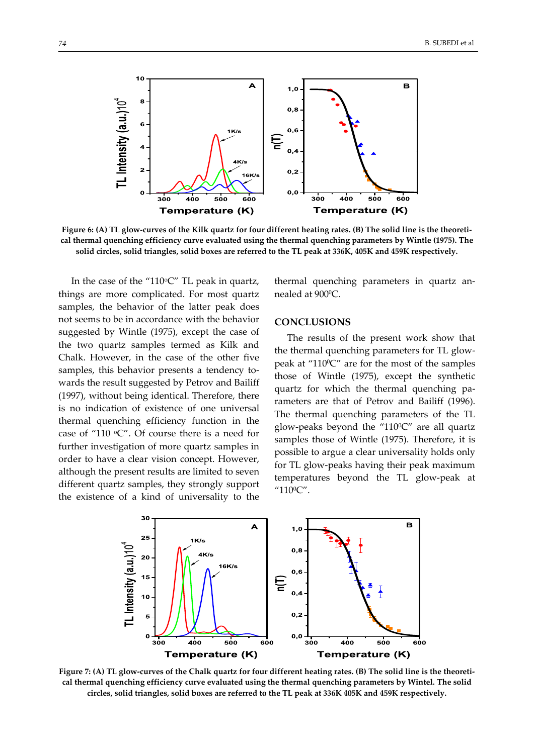

Figure 6: (A) TL glow-curves of the Kilk quartz for four different heating rates. (B) The solid line is the theoreti**cal thermal quenching efficiency curve evaluated using the thermal quenching parameters by Wintle (1975). The** solid circles, solid triangles, solid boxes are referred to the TL peak at 336K, 405K and 459K respectively.

In the case of the "110 $\degree$ C" TL peak in quartz, things are more complicated. For most quartz samples, the behavior of the latter peak does not seems to be in accordance with the behavior suggested by Wintle (1975), except the case of the two quartz samples termed as Kilk and Chalk. However, in the case of the other five samples, this behavior presents a tendency towards the result suggested by Petrov and Bailiff (1997), without being identical. Therefore, there is no indication of existence of one universal thermal quenching efficiency function in the case of "110 °C". Of course there is a need for further investigation of more quartz samples in order to have a clear vision concept. However, although the present results are limited to seven different quartz samples, they strongly support the existence of a kind of universality to the thermal quenching parameters in quartz an‐ nealed at 900°C.

## **CONCLUSIONS**

The results of the present work show that the thermal quenching parameters for TL glow‐ peak at " $110^{\circ}$ C" are for the most of the samples those of Wintle (1975), except the synthetic quartz for which the thermal quenching pa‐ rameters are that of Petrov and Bailiff (1996). The thermal quenching parameters of the TL glow-peaks beyond the " $110^{\circ}$ C" are all quartz samples those of Wintle (1975). Therefore, it is possible to argue a clear universality holds only for TL glow‐peaks having their peak maximum temperatures beyond the TL glow‐peak at "110°C".



Figure 7: (A) TL glow-curves of the Chalk quartz for four different heating rates. (B) The solid line is the theoreti**cal thermal quenching efficiency curve evaluated using the thermal quenching parameters by Wintel. The solid circles, solid triangles, solid boxes are referred to the TL peak at 336K 405K and 459K respectively.**